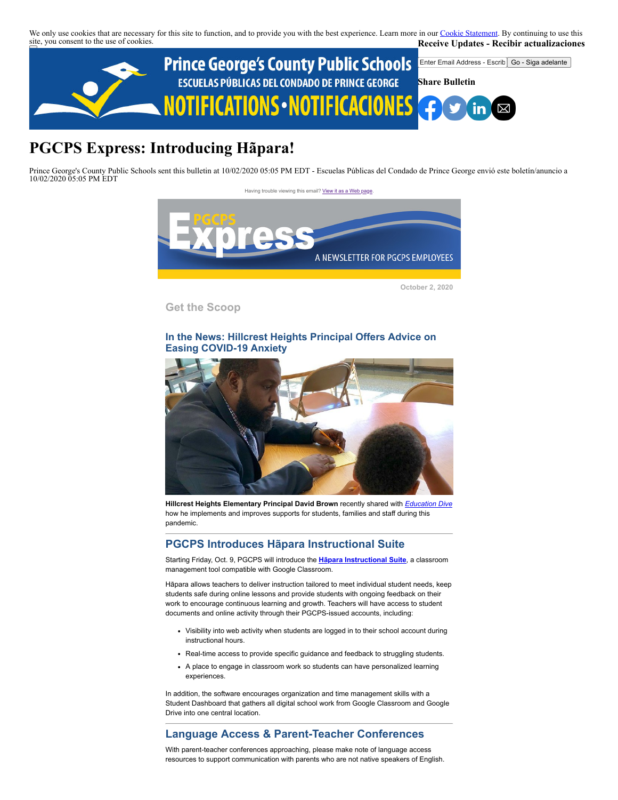We only use cookies that are necessary for this site to function, and to provide you with the best experience. Learn more in our [Cookie Statement.](https://subscriberhelp.granicus.com/s/article/Cookies) By continuing to use this site, you consent to the use of cookies. **Receive Updates - Recibir actualizaciones**



# **PGCPS Express: Introducing Hãpara!**

Prince George's County Public Schools sent this bulletin at 10/02/2020 05:05 PM EDT - Escuelas Públicas del Condado de Prince George envió este boletín/anuncio a 10/02/2020 05:05 PM EDT



**October 2, 2020**

**Get the Scoop**

#### **In the News: Hillcrest Heights Principal Offers Advice on Easing COVID-19 Anxiety**



**Hillcrest Heights Elementary Principal David Brown** recently shared with *[Education Dive](https://www.educationdive.com/news/lessons-in-leadership-how-a-first-year-principal-navigated-pandemic-disrup/585556/)* how he implements and improves supports for students, families and staff during this pandemic.

### **PGCPS Introduces Hãpara Instructional Suite**

Starting Friday, Oct. 9, PGCPS will introduce the **[Hāpara Instructional Suite](https://hapara.com/)**, a classroom management tool compatible with Google Classroom.

Hāpara allows teachers to deliver instruction tailored to meet individual student needs, keep students safe during online lessons and provide students with ongoing feedback on their work to encourage continuous learning and growth. Teachers will have access to student documents and online activity through their PGCPS-issued accounts, including:

- Visibility into web activity when students are logged in to their school account during instructional hours.
- Real-time access to provide specific guidance and feedback to struggling students.
- A place to engage in classroom work so students can have personalized learning experiences.

In addition, the software encourages organization and time management skills with a Student Dashboard that gathers all digital school work from Google Classroom and Google Drive into one central location.

# **Language Access & Parent-Teacher Conferences**

With parent-teacher conferences approaching, please make note of language access resources to support communication with parents who are not native speakers of English.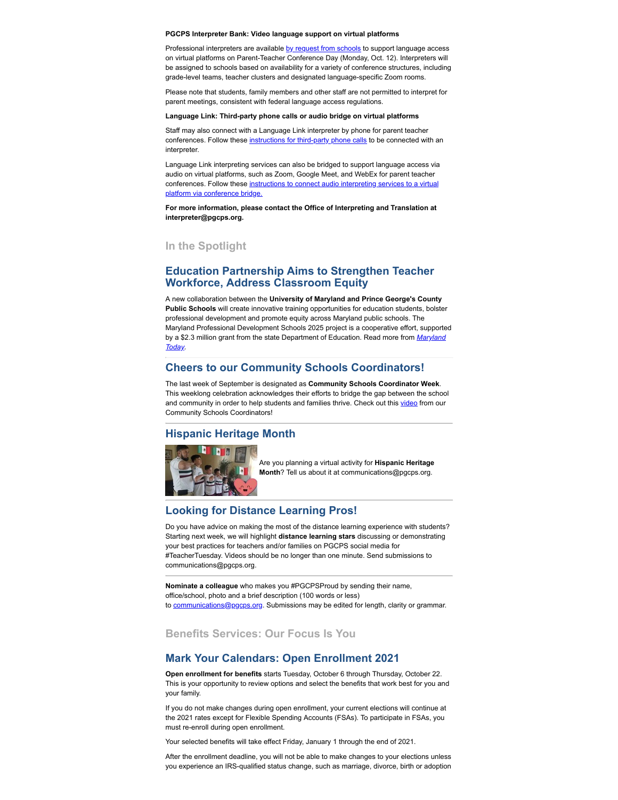**PGCPS Interpreter Bank: Video language support on virtual platforms**

Professional interpreters are available [by request from schools](https://www.gofluently.com/PGCPS/Login.aspx?ReturnUrl=%2fPGCPS%2f) to support language access on virtual platforms on Parent-Teacher Conference Day (Monday, Oct. 12). Interpreters will be assigned to schools based on availability for a variety of conference structures, including grade-level teams, teacher clusters and designated language-specific Zoom rooms.

Please note that students, family members and other staff are not permitted to interpret for parent meetings, consistent with federal language access regulations.

#### **Language Link: Third-party phone calls or audio bridge on virtual platforms**

Staff may also connect with a Language Link interpreter by phone for parent teacher conferences. Follow these [instructions for third-party phone calls](https://docs.google.com/document/d/1qDF-_P5TAS4WRGF_Xh160tdK-qvvICnO9IX7Xg3WClk/edit?usp=sharing) to be connected with an interpreter.

Language Link interpreting services can also be bridged to support language access via audio on virtual platforms, such as Zoom, Google Meet, and WebEx for parent teacher [conferences. Follow these instructions to connect audio interpreting services to a virtual](https://docs.google.com/document/d/1-F4k6MDtb_YyXfiOOyscal1T4CZZtPKI9uEL8reiE0o/edit?usp=sharing) platform via conference bridge.

**For more information, please contact the Office of Interpreting and Translation at interpreter@pgcps.org.** 

#### **In the Spotlight**

#### **Education Partnership Aims to Strengthen Teacher Workforce, Address Classroom Equity**

A new collaboration between the **University of Maryland and Prince George's County Public Schools** will create innovative training opportunities for education students, bolster professional development and promote equity across Maryland public schools. The Maryland Professional Development Schools 2025 project is a cooperative effort, supported [by a \\$2.3 million grant from the state Department of Education. Read more from](https://today.umd.edu/articles/education-partnership-aims-strengthen-teacher-workforce-address-classroom-equity-7b97cd63-f510-4425-a56c-c7e2021715c4) *Maryland Today.*

#### **Cheers to our Community Schools Coordinators!**

The last week of September is designated as **Community Schools Coordinator Week**. This weeklong celebration acknowledges their efforts to bridge the gap between the school and community in order to help students and families thrive. Check out this [video](https://drive.google.com/file/d/1HIsFL4wk8p8Xizyjqr5LJpd74fjrWiOn/view?ts=5f73f83b) from our Community Schools Coordinators!

#### **Hispanic Heritage Month**



Are you planning a virtual activity for **Hispanic Heritage Month**? Tell us about it at communications@pgcps.org.

### **Looking for Distance Learning Pros!**

Do you have advice on making the most of the distance learning experience with students? Starting next week, we will highlight **distance learning stars** discussing or demonstrating your best practices for teachers and/or families on PGCPS social media for #TeacherTuesday. Videos should be no longer than one minute. Send submissions to communications@pgcps.org.

**Nominate a colleague** who makes you #PGCPSProud by sending their name, office/school, photo and a brief description (100 words or less) to [communications@pgcps.org](mailto:communications@pgcps.org). Submissions may be edited for length, clarity or grammar.

# **Benefits Services: Our Focus Is You**

#### **Mark Your Calendars: Open Enrollment 2021**

**Open enrollment for benefits** starts Tuesday, October 6 through Thursday, October 22. This is your opportunity to review options and select the benefits that work best for you and your family.

If you do not make changes during open enrollment, your current elections will continue at the 2021 rates except for Flexible Spending Accounts (FSAs). To participate in FSAs, you must re-enroll during open enrollment.

Your selected benefits will take effect Friday, January 1 through the end of 2021.

After the enrollment deadline, you will not be able to make changes to your elections unless you experience an IRS-qualified status change, such as marriage, divorce, birth or adoption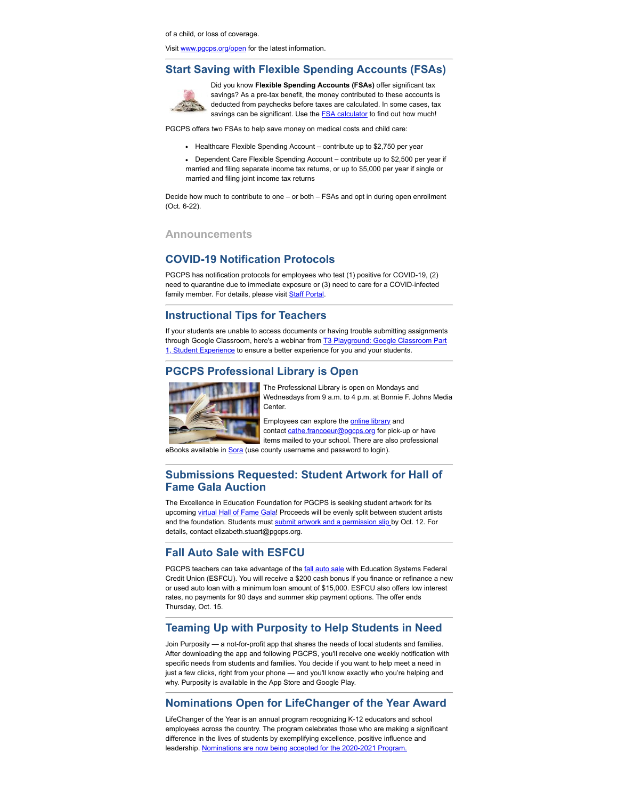of a child, or loss of coverage.

Visit [www.pgcps.org/open](http://www.pgcps.org/open/) for the latest information.

#### **Start Saving with Flexible Spending Accounts (FSAs)**



Did you know **Flexible Spending Accounts (FSAs)** offer significant tax savings? As a pre-tax benefit, the money contributed to these accounts is deducted from paychecks before taxes are calculated. In some cases, tax savings can be significant. Use the **FSA calculator** to find out how much!

PGCPS offers two FSAs to help save money on medical costs and child care:

- Healthcare Flexible Spending Account contribute up to \$2,750 per year
- Dependent Care Flexible Spending Account contribute up to \$2,500 per year if married and filing separate income tax returns, or up to \$5,000 per year if single or married and filing joint income tax returns

Decide how much to contribute to one – or both – FSAs and opt in during open enrollment (Oct. 6-22).

#### **Announcements**

#### **COVID-19 Notification Protocols**

PGCPS has notification protocols for employees who test (1) positive for COVID-19, (2) need to quarantine due to immediate exposure or (3) need to care for a COVID-infected family member. For details, please visit **Staff Portal**.

#### **Instructional Tips for Teachers**

If your students are unable to access documents or having trouble submitting assignments through Google Classroom, here's a webinar from **T3 Playground: Google Classroom Part** 1, Student Experience to ensure a better experience for you and your students.

# **PGCPS Professional Library is Open**



The Professional Library is open on Mondays and Wednesdays from 9 a.m. to 4 p.m. at Bonnie F. Johns Media Center.

Employees can explore the **online library** and contact [cathe.francoeur@pgcps.org](mailto:cathe.francoeur@pgcps.org) for pick-up or have items mailed to your school. There are also professional

eBooks available in **Sora** (use county username and password to login).

#### **Submissions Requested: Student Artwork for Hall of Fame Gala Auction**

The Excellence in Education Foundation for PGCPS is seeking student artwork for its upcoming [virtual Hall of Fame Gala](https://www1.pgcps.org/foundation/cards/2020-Virtual-PGCPS-Hall-of-Fame-Gala/)! Proceeds will be evenly split between student artists and the foundation. Students must [submit artwork and a permission slip b](https://docs.google.com/forms/d/1p2Og4SgPqNsG1pVZqg4Yxnmd3TPo2xrIEG8PdukFDvU/viewform?ts=5f58c22d&gxids=7757&edit_requested=true)y Oct. 12. For details, contact elizabeth.stuart@pgcps.org.

#### **Fall Auto Sale with ESFCU**

PGCPS teachers can take advantage of the **[fall auto sale](https://www.esfcu.org/fallauto)** with Education Systems Federal Credit Union (ESFCU). You will receive a \$200 cash bonus if you finance or refinance a new or used auto loan with a minimum loan amount of \$15,000. ESFCU also offers low interest rates, no payments for 90 days and summer skip payment options. The offer ends Thursday, Oct. 15.

#### **Teaming Up with Purposity to Help Students in Need**

Join Purposity — a not-for-profit app that shares the needs of local students and families. After downloading the app and following PGCPS, you'll receive one weekly notification with specific needs from students and families. You decide if you want to help meet a need in just a few clicks, right from your phone — and you'll know exactly who you're helping and why. Purposity is available in the App Store and Google Play.

#### **Nominations Open for LifeChanger of the Year Award**

LifeChanger of the Year is an annual program recognizing K-12 educators and school employees across the country. The program celebrates those who are making a significant difference in the lives of students by exemplifying excellence, positive influence and leadership. [Nominations are now being accepted for the 2020-2021 Program.](http://app.lifechangeroftheyear.com/nominate.cfm)